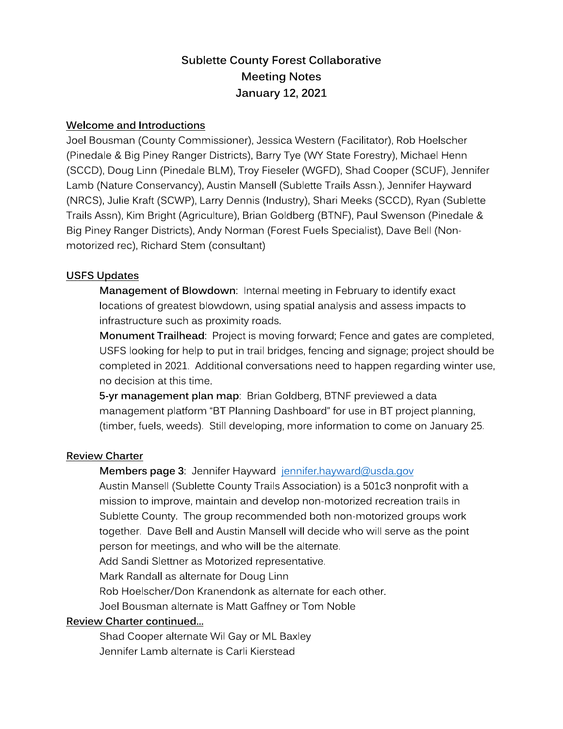# **Sublette County Forest Collaborative Meeting Notes January 12, 2021**

### Welcome and Introductions

Joel Bousman (County Commissioner), Jessica Western (Facilitator), Rob Hoelscher (Pinedale & Big Piney Ranger Districts), Barry Tye (WY State Forestry), Michael Henn (SCCD), Doug Linn (Pinedale BLM), Troy Fieseler (WGFD), Shad Cooper (SCUF), Jennifer Lamb (Nature Conservancy), Austin Mansell (Sublette Trails Assn.), Jennifer Hayward (NRCS), Julie Kraft (SCWP), Larry Dennis (Industry), Shari Meeks (SCCD), Ryan (Sublette Trails Assn), Kim Bright (Agriculture), Brian Goldberg (BTNF), Paul Swenson (Pinedale & Big Piney Ranger Districts), Andy Norman (Forest Fuels Specialist), Dave Bell (Nonmotorized rec), Richard Stem (consultant)

# **USFS Updates**

Management of Blowdown: Internal meeting in February to identify exact locations of greatest blowdown, using spatial analysis and assess impacts to infrastructure such as proximity roads.

Monument Trailhead: Project is moving forward; Fence and gates are completed, USFS looking for help to put in trail bridges, fencing and signage; project should be completed in 2021. Additional conversations need to happen regarding winter use, no decision at this time.

5-yr management plan map: Brian Goldberg, BTNF previewed a data management platform "BT Planning Dashboard" for use in BT project planning, (timber, fuels, weeds). Still developing, more information to come on January 25.

#### **Review Charter**

# Members page 3: Jennifer Hayward jennifer.hayward@usda.gov

Austin Mansell (Sublette County Trails Association) is a 501c3 nonprofit with a mission to improve, maintain and develop non-motorized recreation trails in Sublette County. The group recommended both non-motorized groups work together. Dave Bell and Austin Mansell will decide who will serve as the point person for meetings, and who will be the alternate.

Add Sandi Slettner as Motorized representative.

Mark Randall as alternate for Doug Linn

Rob Hoelscher/Don Kranendonk as alternate for each other.

Joel Bousman alternate is Matt Gaffney or Tom Noble

#### Review Charter continued...

Shad Cooper alternate Wil Gay or ML Baxley Jennifer Lamb alternate is Carli Kierstead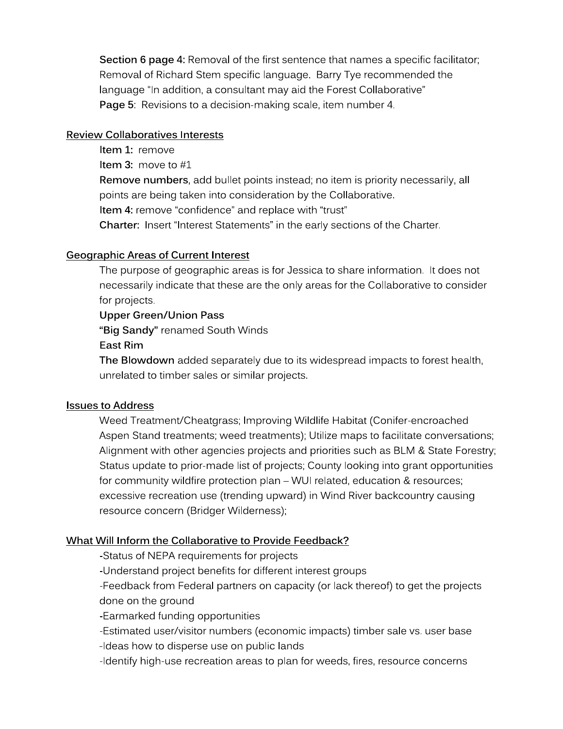Section 6 page 4: Removal of the first sentence that names a specific facilitator; Removal of Richard Stem specific language. Barry Tye recommended the language "In addition, a consultant may aid the Forest Collaborative" Page 5: Revisions to a decision-making scale, item number 4.

#### **Review Collaboratives Interests**

Item 1: remove

**Item 3:** move to  $#1$ 

Remove numbers, add bullet points instead; no item is priority necessarily, all points are being taken into consideration by the Collaborative.

Item 4: remove "confidence" and replace with "trust"

Charter: Insert "Interest Statements" in the early sections of the Charter.

## **Geographic Areas of Current Interest**

The purpose of geographic areas is for Jessica to share information. It does not necessarily indicate that these are the only areas for the Collaborative to consider for projects.

## **Upper Green/Union Pass**

"Big Sandy" renamed South Winds

East Rim

The Blowdown added separately due to its widespread impacts to forest health, unrelated to timber sales or similar projects.

#### **Issues to Address**

Weed Treatment/Cheatgrass; Improving Wildlife Habitat (Conifer-encroached Aspen Stand treatments; weed treatments); Utilize maps to facilitate conversations; Alignment with other agencies projects and priorities such as BLM & State Forestry; Status update to prior-made list of projects; County looking into grant opportunities for community wildfire protection plan - WUI related, education & resources; excessive recreation use (trending upward) in Wind River backcountry causing resource concern (Bridger Wilderness);

#### What Will Inform the Collaborative to Provide Feedback?

-Status of NEPA requirements for projects

-Understand project benefits for different interest groups

-Feedback from Federal partners on capacity (or lack thereof) to get the projects done on the ground

-Earmarked funding opportunities

-Estimated user/visitor numbers (economic impacts) timber sale vs. user base

-Ideas how to disperse use on public lands

-Identify high-use recreation areas to plan for weeds, fires, resource concerns